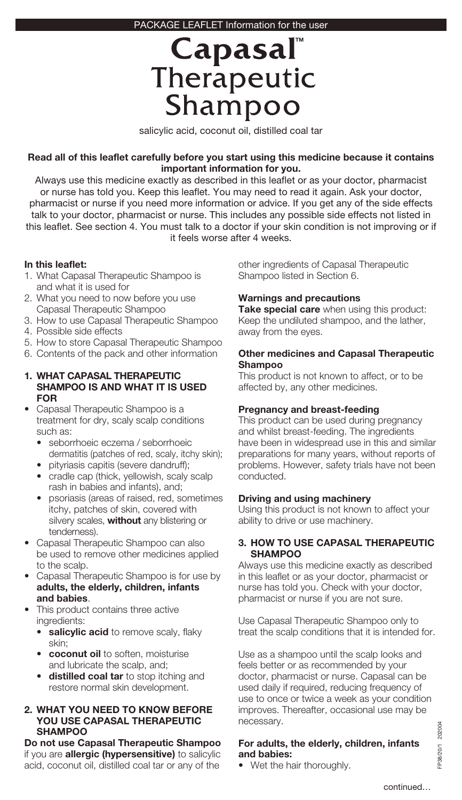# Capasal Therapeutic Shampoo

salicylic acid, coconut oil, distilled coal tar

### **Read all of this leaflet carefully before you start using this medicine because it contains important information for you.**

Always use this medicine exactly as described in this leaflet or as your doctor, pharmacist or nurse has told you. Keep this leaflet. You may need to read it again. Ask your doctor, pharmacist or nurse if you need more information or advice. If you get any of the side effects talk to your doctor, pharmacist or nurse. This includes any possible side effects not listed in this leaflet. See section 4. You must talk to a doctor if your skin condition is not improving or if it feels worse after 4 weeks.

### **In this leaflet:**

- 1. What Capasal Therapeutic Shampoo is and what it is used for
- 2. What you need to now before you use Capasal Therapeutic Shampoo
- 3. How to use Capasal Therapeutic Shampoo
- 4. Possible side effects
- 5. How to store Capasal Therapeutic Shampoo
- 6. Contents of the pack and other information

#### **1. WHAT CAPASAL THERAPEUTIC SHAMPOO IS AND WHAT IT IS USED FOR**

- Capasal Therapeutic Shampoo is a treatment for dry, scaly scalp conditions such as:
	- seborrhoeic eczema / seborrhoeic dermatitis (patches of red, scaly, itchy skin);
	- pityriasis capitis (severe dandruff);
	- cradle cap (thick, yellowish, scaly scalp rash in babies and infants), and;
	- psoriasis (areas of raised, red, sometimes itchy, patches of skin, covered with silvery scales, **without** any blistering or tenderness).
- Capasal Therapeutic Shampoo can also be used to remove other medicines applied to the scalp.
- Capasal Therapeutic Shampoo is for use by **adults, the elderly, children, infants and babies**.
- This product contains three active ingredients:
	- salicylic acid to remove scaly, flaky skin;
	- **coconut oil** to soften, moisturise and lubricate the scalp, and;
	- **distilled coal tar** to stop itching and restore normal skin development.

## **2. WHAT YOU NEED TO KNOW BEFORE YOU USE CAPASAL THERAPEUTIC SHAMPOO**

**Do not use Capasal Therapeutic Shampoo**  if you are **allergic (hypersensitive)** to salicylic acid, coconut oil, distilled coal tar or any of the

other ingredients of Capasal Therapeutic Shampoo listed in Section 6.

# **Warnings and precautions**

**Take special care** when using this product: Keep the undiluted shampoo, and the lather, away from the eyes.

#### **Other medicines and Capasal Therapeutic Shampoo**

This product is not known to affect, or to be affected by, any other medicines.

# **Pregnancy and breast-feeding**

This product can be used during pregnancy and whilst breast-feeding. The ingredients have been in widespread use in this and similar preparations for many years, without reports of problems. However, safety trials have not been conducted.

# **Driving and using machinery**

Using this product is not known to affect your ability to drive or use machinery.

#### **3. HOW TO USE CAPASAL THERAPEUTIC SHAMPOO**

Always use this medicine exactly as described in this leaflet or as your doctor, pharmacist or nurse has told you. Check with your doctor, pharmacist or nurse if you are not sure.

Use Capasal Therapeutic Shampoo only to treat the scalp conditions that it is intended for.

Use as a shampoo until the scalp looks and feels better or as recommended by your doctor, pharmacist or nurse. Capasal can be used daily if required, reducing frequency of use to once or twice a week as your condition improves. Thereafter, occasional use may be necessary.

### **For adults, the elderly, children, infants and babies:**

• Wet the hair thoroughly.